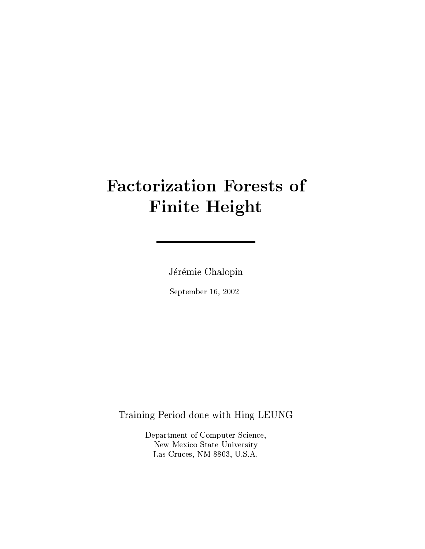# **Factorization Forests of Finite Height**

Jérémie Chalopin

September 16, 2002

Training Period done with Hing LEUNG

Department of Computer Science, New Mexico State University Las Cruces, NM 8803, U.S.A.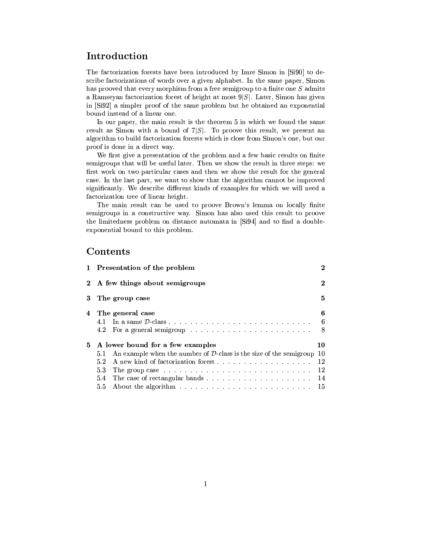# Introduction

The factorization forests have been introduced by Imre Simon in [Si90] to describe factorizations of words over a given alphabet. In the same paper, Simon has prooved that every morphism from a free semigroup to a finite one S admits a Ramseyan factorization forest of height at most  $9|S|$ . Later, Simon has given in  $[\text{Si}92]$  a simpler proof of the same problem but he obtained an exponential bound instead of a linear one.

In our paper, the main result is the theorem 5 in which we found the same result as Simon with a bound of  $7|S|$ . To proove this result, we present an algorithm to build factorization forests which is close from Simon's one, but our proof is done in a direct way.

We first give a presentation of the problem and a few basic results on finite semigroups that will be useful later. Then we show the result in three steps: we first work on two particular cases and then we show the result for the general case. In the last part, we want to show that the algorithm cannot be improved significantly. We describe different kinds of examples for which we will need a factorization tree of linear height.

The main result can be used to proove Brown's lemma on locally finite semigroups in a constructive way. Simon has also used this result to proove the limitedness problem on distance automata in [Si94] and to find a doubleexponential bound to this problem.

## Contents

|                | 1 Presentation of the problem                                                                            | $\bf{2}$ |
|----------------|----------------------------------------------------------------------------------------------------------|----------|
| $\mathbf{2}^-$ | A few things about semigroups                                                                            | $\bf{2}$ |
| 3              | The group case                                                                                           | 5.       |
|                | 4 The general case                                                                                       | 6        |
|                |                                                                                                          | -6       |
|                | For a general semigroup $\ldots \ldots \ldots \ldots \ldots \ldots \ldots$<br>4.2                        | -8       |
| 5.             | A lower bound for a few examples                                                                         | 10       |
|                | An example when the number of $D$ -class is the size of the semigroup<br>5.1                             | 10       |
|                | 5.2                                                                                                      |          |
|                | 5.3                                                                                                      | 12       |
|                |                                                                                                          | 14       |
|                | About the algorithm $\ldots \ldots \ldots \ldots \ldots \ldots \ldots \ldots \ldots 15$<br>$5.5^{\circ}$ |          |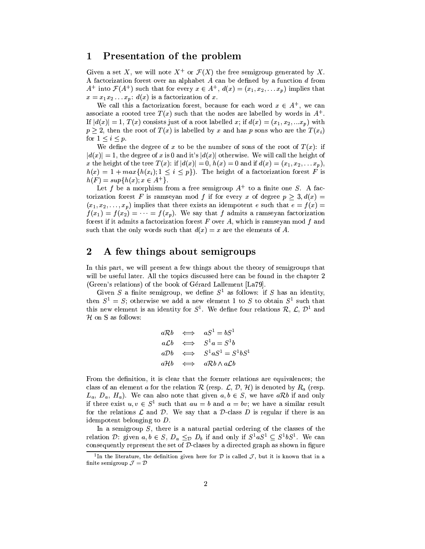#### $\mathbf{1}$ Presentation of the problem

Given a set X, we will note  $X^+$  or  $\mathcal{F}(X)$  the free semigroup generated by X. A factorization forest over an alphabet  $A$  can be defined by a function  $d$  from  $A^+$  into  $\mathcal{F}(A^+)$  such that for every  $x \in A^+$ ,  $d(x) = (x_1, x_2, \ldots, x_p)$  implies that  $x = x_1 x_2 \ldots x_p$ :  $d(x)$  is a factorization of x.

We call this a factorization forest, because for each word  $x \in A^+$ , we can associate a rooted tree  $T(x)$  such that the nodes are labelled by words in  $A^+$ . If  $|d(x)| = 1, T(x)$  consists just of a root labelled x; if  $d(x) = (x_1, x_2, ... x_p)$  with  $p \geq 2$ , then the root of  $T(x)$  is labelled by x and has p sons who are the  $T(x_i)$ for  $1 \leq i \leq p$ .

We define the degree of x to be the number of sons of the root of  $T(x)$ : if  $|d(x)| = 1$ , the degree of x is 0 and it's  $|d(x)|$  otherwise. We will call the height of x the height of the tree  $T(x)$ : if  $|d(x)| = 0$ ,  $h(x) = 0$  and if  $d(x) = (x_1, x_2, \ldots, x_p)$ ,  $h(x) = 1 + max\{h(x_i); 1 \leq i \leq p\}$ . The height of a factorization forest F is  $h(F) = sup\{h(x); x \in A^+\}.$ 

Let f be a morphism from a free semigroup  $A^+$  to a finite one S. A factorization forest F is ramseyan mod f if for every x of degree  $p \geq 3, d(x) =$  $(x_1, x_2, \ldots, x_p)$  implies that there exists an idempotent e such that  $e = f(x)$  $f(x_1) = f(x_2) = \cdots = f(x_p)$ . We say that f admits a ramseyan factorization forest if it admits a factorization forest  $F$  over  $A$ , which is ramseyan mod  $f$  and such that the only words such that  $d(x) = x$  are the elements of A.

#### A few things about semigroups  $\bf{2}$

In this part, we will present a few things about the theory of semigroups that will be useful later. All the topics discussed here can be found in the chapter 2 (Green's relations) of the book of Gérard Lallement [La79].

Given S a finite semigroup, we define  $S^1$  as follows: if S has an identity, then  $S^1 = S$ ; otherwise we add a new element 1 to S to obtain  $S^1$  such that this new element is an identity for  $S^1$ . We define four relations  $\mathcal{R}, \mathcal{L}, \mathcal{D}^1$  and  $H$  on S as follows:

$$
a\n\begin{array}{rcl}\naRb & \Longleftrightarrow & aS^1 = bS^1 \\
a\mathcal{L}b & \Longleftrightarrow & S^1a = S^1b \\
a\mathcal{D}b & \Longleftrightarrow & S^1aS^1 = S^1bS^1 \\
a\mathcal{H}b & \Longleftrightarrow & a\mathcal{R}b \wedge a\mathcal{L}b\n\end{array}
$$

From the definition, it is clear that the former relations are equivalences; the class of an element a for the relation R (resp.  $\mathcal{L}, \mathcal{D}, \mathcal{H}$ ) is denoted by  $R_a$  (resp.  $L_a, D_a, H_a$ ). We can also note that given  $a, b \in S$ , we have  $a \mathcal{R} b$  if and only if there exist  $u, v \in S^1$  such that  $au = b$  and  $a = bv$ ; we have a similar result for the relations  $\mathcal L$  and  $\mathcal D$ . We say that a  $\mathcal D$ -class  $D$  is regular if there is an idempotent belonging to  $D$ .

In a semigroup  $S$ , there is a natural partial ordering of the classes of the relation D: given  $a, b \in S$ ,  $D_a \leq_D D_b$  if and only if  $S^1 a S^1 \subseteq S^1 b S^1$ . We can consequently represent the set of  $D$ -clases by a directed graph as shown in figure

<sup>&</sup>lt;sup>1</sup>In the literature, the definition given here for  $D$  is called  $J$ , but it is known that in a finite semigroup  $\mathcal{J} = \mathcal{D}$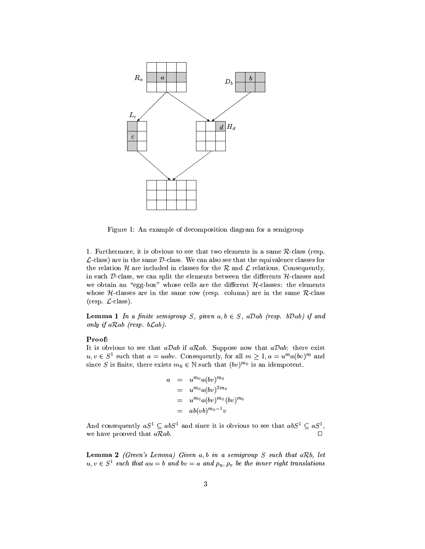

Figure 1: An example of decomposition diagram for a semigroup

1. Furthermore, it is obvious to see that two elements in a same  $R$ -class (resp.  $\mathcal{L}$ -class) are in the same  $\mathcal{D}$ -class. We can also see that the equivalence classes for the relation H are included in classes for the R and L relations. Consequently, in each D-class, we can split the elements between the differents  $H$ -classes and we obtain an "egg-box" whose cells are the different  $H$ -classes: the elements whose  $H$ -classes are in the same row (resp. column) are in the same  $R$ -class  $(\text{resp. } \mathcal{L}\text{-class}).$ 

**Lemma 1** In a finite semigroup S, given  $a, b \in S$ ,  $aDab$  (resp. bDab) if and only if  $aRab$  (resp.  $bLab$ ).

## Proof:

It is obvious to see that  $aDab$  if  $aRab$ . Suppose now that  $aDab$ : there exist  $u, v \in S^1$  such that  $a = uabv$ . Consequently, for all  $m \ge 1, a = u^m a (bv)^m$  and since S is finite, there exists  $m_0 \in \mathbb{N}$  such that  $(bv)^{m_0}$  is an idempotent.

$$
a = u^{m_0} a (bv)^{m_0}
$$
  
=  $u^{m_0} a (bv)^{2m_0}$   
=  $u^{m_0} a (bv)^{m_0} (bv)^{m_0}$   
=  $ab (vb)^{m_0-1} v$ 

And consequently  $aS^1 \subseteq abS^1$  and since it is obvious to see that  $abS^1 \subseteq aS^1$ , we have prooved that  $aRab$ .

**Lemma 2** (Green's Lemma) Given  $a, b$  in a semigroup S such that  $aRb$ , let  $u, v \in S^1$  such that  $au = b$  and  $bv = a$  and  $\rho_u, \rho_v$  be the inner right translations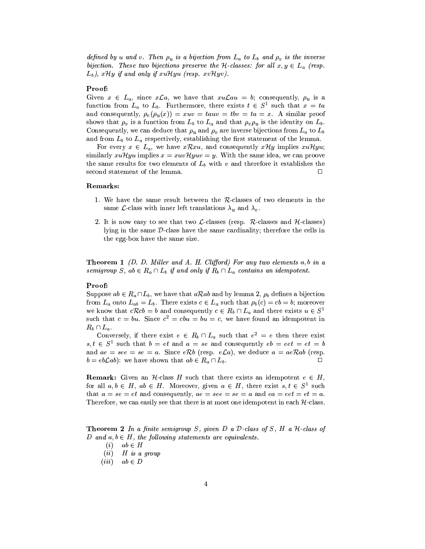defined by u and v. Then  $\rho_u$  is a bijection from  $L_a$  to  $L_b$  and  $\rho_v$  is the inverse bijection. These two bijections preserve the H-classes: for all  $x, y \in L_a$  (resp.  $(L_b)$ , xHy if and only if xuHyu (resp. xvHyv).

## Proof:

Given  $x \in L_a$ , since  $x\mathcal{L}a$ , we have that  $xu\mathcal{L}au = b$ ; consequently,  $\rho_u$  is a function from  $L_a$  to  $L_b$ . Furthermore, there exists  $t \in S^1$  such that  $x = ta$ and consequently,  $\rho_v(\rho_u(x)) = xuv = tauv = tbv = ta = x$ . A similar proof shows that  $\rho_v$  is a function from  $L_b$  to  $L_a$  and that  $\rho_v \rho_u$  is the identity on  $L_b$ . Consequently, we can deduce that  $\rho_u$  and  $\rho_v$  are inverse bijections from  $L_a$  to  $L_b$ and from  $L_b$  to  $L_a$  respectively, establishing the first statement of the lemma.

For every  $x \in L_a$ , we have  $x\mathcal{R}xu$ , and consequently  $x\mathcal{H}y$  implies  $xu\mathcal{H}yu$ ; similarly xuHyu implies  $x = xuvHyuv = y$ . With the same idea, we can proove the same results for two elements of  $L_b$  with  $v$  and therefore it establishes the second statement of the lemma.  $\Box$ 

## Remarks:

- 1. We have the same result between the  $R$ -classes of two elements in the same *L*-class with inner left translations  $\lambda_u$  and  $\lambda_v$ .
- 2. It is now easy to see that two  $\mathcal{L}\text{-classes}$  (resp. R-classes and H-classes) lying in the same D-class have the same cardinality; therefore the cells in the egg-box have the same size.

**Theorem 1** (D. D. Miller and A. H. Clifford) For any two elements  $a, b$  in a semigroup S, ab  $\in R_a \cap L_b$  if and only if  $R_b \cap L_a$  contains an idempotent.

## Proof:

Suppose  $ab \in R_a \cap L_b$ , we have that  $a \mathcal{R} ab$  and by lemma 2,  $\rho_b$  defines a bijection from  $L_a$  onto  $L_{ab} = L_b$ . There exists  $c \in L_a$  such that  $\rho_b(c) = cb = b$ ; moreover we know that  $cRcb = b$  and consequently  $c \in R_b \cap L_a$  and there exists  $u \in S<sup>1</sup>$ such that  $c = bu$ . Since  $c^2 = cbu = bu = c$ , we have found an idempotent in  $R_b \cap L_a$ .

Conversely, if there exist  $e \in R_b \cap L_a$  such that  $e^2 = e$  then there exist  $s, t \in S^1$  such that  $b = et$  and  $a = se$  and consequently  $eb = eet = et = b$ and  $ae = see = se = a$ . Since eRb (resp. eLa), we deduce  $a = aeRab$  (resp.  $b = eb \mathcal{L}ab$ : we have shown that  $ab \in R_a \cap L_b$ . Л

**Remark:** Given an  $H$ -class H such that there exists an idempotent  $e \in H$ , for all  $a, b \in H$ ,  $ab \in H$ . Moreover, given  $a \in H$ , there exist  $s, t \in S^1$  such that  $a = se = et$  and consequently,  $ae = see = se = a$  and  $ea = eet = et = a$ . Therefore, we can easily see that there is at most one idempotent in each  $H$ -class.

**Theorem 2** In a finite semigroup S, given D a D-class of S, H a  $H$ -class of D and  $a, b \in H$ , the following statements are equivalents.

- $(i)$  $ab \in H$
- $(ii)$  $H$  is a group
- $(iii)$  $ab \in D$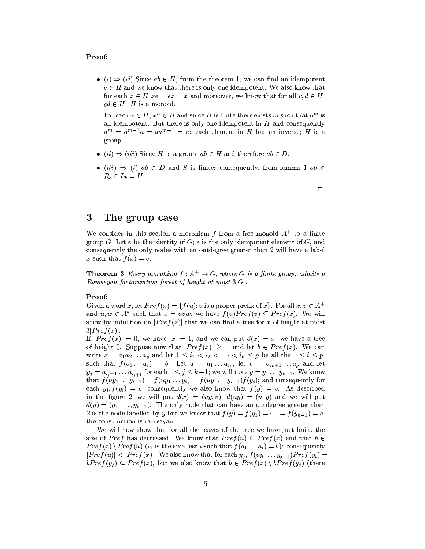## Proof:

• (i)  $\Rightarrow$  (ii) Since  $ab \in H$ , from the theorem 1, we can find an idempotent  $e \in H$  and we know that there is only one idempotent. We also know that for each  $x \in H$ ,  $xe = ex = x$  and moreover, we know that for all  $c, d \in H$ ,  $cd \in H$ : H is a monoid.

For each  $x \in H$ ,  $x^n \in H$  and since H is finite there exists m such that  $a^m$  is an idempotent. But there is only one idempotent in  $H$  and consequently  $a^m = a^{m-1}a = aa^{m-1} = e$ : each element in H has an inverse; H is a group.

- $(ii) \Rightarrow (iii)$  Since H is a group,  $ab \in H$  and therefore  $ab \in D$ .
- $(iii) \Rightarrow (i)$  ab  $\in D$  and S is finite; consequently, from lemma 1 ab  $\in$  $R_a \cap L_b = H.$

 $\Box$ 

#### 3 The group case

We consider in this section a morphism f from a free monoid  $A^+$  to a finite group G. Let e be the identity of  $G$ ; e is the only idempotent element of  $G$ , and consequently the only nodes with an outdegree greater than 2 will have a label x such that  $f(x) = e$ .

**Theorem 3** Every morphism  $f : A^+ \to G$ , where G is a finite group, admits a Ramseyan factorization forest of height at most  $3|G|$ .

## Proof:

Given a word x, let  $Pref(x) = \{f(u); u \text{ is a proper prefix of } x\}$ . For all  $x, v \in A^+$ and  $u, w \in A^*$  such that  $x = uvw$ , we have  $f(u)Pref(v) \subseteq Pref(x)$ . We will show by induction on  $|Pref(x)|$  that we can find a tree for x of height at most  $3|Pref(x)|.$ 

If  $|Pref(x)| = 0$ , we have  $|x| = 1$ , and we can put  $d(x) = x$ ; we have a tree of height 0. Suppose now that  $|Pref(x)| \geq 1$ , and let  $b \in Pref(x)$ . We can write  $x = a_1 a_2 ... a_p$  and let  $1 \leq i_1 < i_2 < ... < i_k \leq p$  be all the  $1 \leq i \leq p$ , such that  $f(a_1... a_i) = b$ . Let  $u = a_1... a_{i_1}$ , let  $v = a_{i_k+1}... a_p$  and let  $y_j = a_{i_j+1} \dots a_{i_{j+1}}$  for each  $1 \leq j \leq k-1$ ; we will note  $y = y_1 \dots y_{k-1}$ . We know that  $f(uy_1 \ldots y_{i-1}) = f(uy_1 \ldots y_i) = f(uy_1 \ldots y_{i-1})f(y_i)$ ; and consequently for each  $y_i, f(y_i) = e$ ; consequently we also know that  $f(y) = e$ . As described in the figure 2, we will put  $d(x) = (uy, v), d(uy) = (u, y)$  and we will put  $d(y) = (y_1, \ldots, y_{k-1})$ . The only node that can have an outdegree greater than 2 is the node labelled by y but we know that  $f(y) = f(y_1) = \cdots = f(y_{k-1}) = e$ . the construction is ramseyan.

We will now show that for all the leaves of the tree we have just built, the size of Pref has decreased. We know that  $Pref(u) \subseteq Pref(x)$  and that  $b \in$  $Pref(x) \setminus Pref(u)$  (i<sub>1</sub> is the smallest i such that  $f(a_1 \ldots a_i) = b$ ): consequently  $|Pref(u)| < |Pref(x)|$ . We also know that for each  $y_i$ ,  $f(uy_1 \tldots y_{i-1}) Pref(y_i)$  $bPref(y_i) \subseteq Pref(x)$ , but we also know that  $b \in Pref(x) \setminus bPref(y_i)$  (there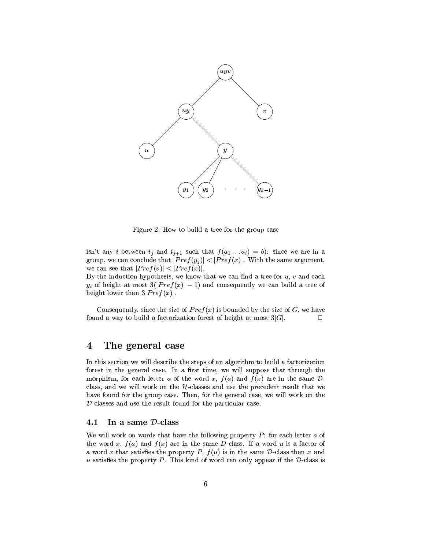

Figure 2: How to build a tree for the group case

isn't any *i* between  $i_j$  and  $i_{j+1}$  such that  $f(a_1 \ldots a_i) = b$ : since we are in a group, we can conclude that  $|Pref(y_i)| < |Pref(x)|$ . With the same argument, we can see that  $|Pref(v)| < |Pref(x)|$ .

By the induction hypothesis, we know that we can find a tree for  $u, v$  and each  $y_i$  of height at most  $3(|Pref(x)| - 1)$  and consequently we can build a tree of height lower than  $3|Pref(x)|$ .

Consequently, since the size of  $Pref(x)$  is bounded by the size of G, we have found a way to build a factorization forest of height at most  $3|G|$ .  $\Box$ 

#### The general case  $\boldsymbol{4}$

In this section we will describe the steps of an algorithm to build a factorization forest in the general case. In a first time, we will suppose that through the morphism, for each letter a of the word x,  $f(a)$  and  $f(x)$  are in the same  $D$ class, and we will work on the  $H$ -classes and use the precedent result that we have found for the group case. Then, for the general case, we will work on the  $D$ -classes and use the result found for the particular case.

#### $4.1$ In a same D-class

We will work on words that have the following property  $P$ : for each letter  $a$  of the word x,  $f(a)$  and  $f(x)$  are in the same D-class. If a word u is a factor of a word x that satisfies the property P,  $f(u)$  is in the same D-class than x and u satisfies the property  $P$ . This kind of word can only appear if the  $D$ -class is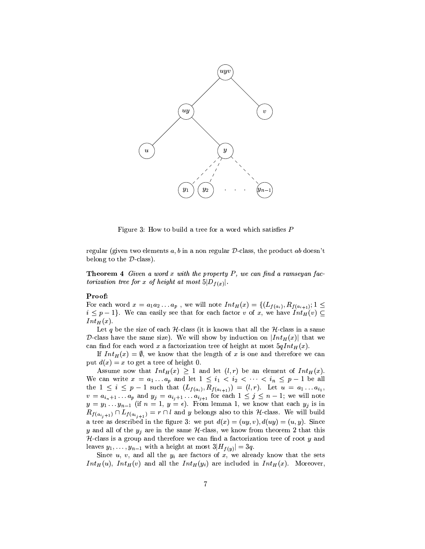

Figure 3: How to build a tree for a word which satisfies  $P$ 

regular (given two elements  $a, b$  in a non regular D-class, the product ab doesn't belong to the  $\mathcal{D}$ -class).

**Theorem 4** Given a word x with the property  $P$ , we can find a ramseyan factorization tree for x of height at most  $5|D_{f(x)}|$ .

## Proof:

For each word  $x = a_1 a_2 \ldots a_p$ , we will note  $Int_H(x) = \{(L_{f(a_i)}, R_{f(a_{i+1})}; 1 \leq$  $i \leq p-1$ . We can easily see that for each factor v of x, we have  $Int_H(v) \subseteq$  $Int_H(x).$ 

Let q be the size of each  $H$ -class (it is known that all the  $H$ -class in a same D-class have the same size). We will show by induction on  $[Int_H(x)]$  that we can find for each word x a factorization tree of height at most  $5qInt_H(x)$ .

If  $Int_H(x) = \emptyset$ , we know that the length of x is one and therefore we can put  $d(x) = x$  to get a tree of height 0.

Assume now that  $Int_H(x) \geq 1$  and let  $(l,r)$  be an element of  $Int_H(x)$ . We can write  $x = a_1 \ldots a_p$  and let  $1 \leq i_1 < i_2 < \cdots < i_n \leq p-1$  be all the  $1 \leq i \leq p-1$  such that  $(L_{f(a_i)}, R_{f(a_{i+1})}) = (l, r)$ . Let  $u = a_1 \ldots a_{i_1}$ ,<br>  $v = a_{i_1+1} \ldots a_p$  and  $y_j = a_{i_j+1} \ldots a_{i_{j+1}}$  for each  $1 \leq j \leq n-1$ ; we will note  $y = y_1 \dots y_{n-1}$  (if  $n = 1, y = \epsilon$ ). From lemma 1, we know that each  $y_j$  is in  $R_{f(a_{i_j+1})} \cap L_{f(a_{i_{j+1}})} = r \cap l$  and y belongs also to this *H*-class. We will build a tree as described in the figure 3: we put  $d(x) = (uy, v), d(uy) = (u, y)$ . Since y and all of the  $y_j$  are in the same H-class, we know from theorem 2 that this  $H$ -class is a group and therefore we can find a factorization tree of root y and leaves  $y_1, \ldots, y_{n-1}$  with a height at most  $3|H_{f(y)}| = 3q$ .

Since u, v, and all the  $y_i$  are factors of x, we already know that the sets  $Int_H(u)$ ,  $Int_H(v)$  and all the  $Int_H(y_i)$  are included in  $Int_H(x)$ . Moreover,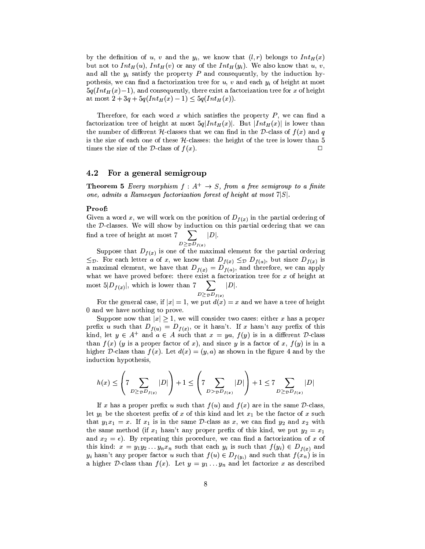by the definition of u, v and the  $y_i$ , we know that  $(l, r)$  belongs to  $Int_H(x)$ but not to  $Int_H(u)$ ,  $Int_H(v)$  or any of the  $Int_H(y_i)$ . We also know that u, v, and all the  $y_i$  satisfy the property P and consequently, by the induction hypothesis, we can find a factorization tree for  $u, v$  and each  $y_i$  of height at most  $5q(Int_H(x)-1)$ , and consequently, there exist a factorization tree for x of height at most  $2 + 3q + 5q(Int_H(x) - 1) \leq 5q(Int_H(x)).$ 

Therefore, for each word  $x$  which satisfies the property  $P$ , we can find a factorization tree of height at most  $5q[Int_H(x)]$ . But  $[Int_H(x)]$  is lower than the number of different H-classes that we can find in the D-class of  $f(x)$  and q is the size of each one of these  $H$ -classes: the height of the tree is lower than 5 times the size of the  $\mathcal{D}$ -class of  $f(x)$ .  $\Box$ 

#### 4.2 For a general semigroup

**Theorem 5** Every morphism  $f : A^+ \rightarrow S$ , from a free semigroup to a finite one, admits a Ramseyan factorization forest of height at most  $7|S|$ .

## Proof:

Given a word x, we will work on the position of  $D_{f(x)}$  in the partial ordering of the D-classes. We will show by induction on this partial ordering that we can find a tree of height at most 7  $|D|$ .  $\rightarrow$ 

$$
D \geq \mathcal{D} D_{f(x)}
$$

Suppose that  $D_{f(x)}$  is one of the maximal element for the partial ordering  $\leq_{\mathcal{D}}$ . For each letter a of x, we know that  $D_{f(x)} \leq_{\mathcal{D}} D_{f(a)}$ , but since  $D_{f(x)}$  is a maximal element, we have that  $D_{f(x)} = D_{f(a)}$ , and therefore, we can apply what we have proved before: there exist a factorization tree for  $x$  of height at most  $5|D_{f(x)}|$ , which is lower than  $7 \sum_{D \geq p D_{f(x)}} |D|$ .<br>For the general case, if  $|x| = 1$ , we put  $d(x) = x$  and we have a tree of height

0 and we have nothing to prove.

Suppose now that  $|x| \geq 1$ , we will consider two cases: either x has a proper prefix u such that  $D_{f(u)} = D_{f(x)}$ , or it hasn't. If x hasn't any prefix of this kind, let  $y \in A^+$  and  $a \in A$  such that  $x = ya$ ,  $f(y)$  is in a different D-class than  $f(x)$  (y is a proper factor of x), and since y is a factor of x,  $f(y)$  is in a higher D-class than  $f(x)$ . Let  $d(x) = (y, a)$  as shown in the figure 4 and by the induction hypothesis,

$$
h(x) \le \left(7 \sum_{D \ge v D_{f(y)}} |D|\right) + 1 \le \left(7 \sum_{D > v D_{f(x)}} |D|\right) + 1 \le 7 \sum_{D \ge v D_{f(x)}} |D|
$$

If x has a proper prefix u such that  $f(u)$  and  $f(x)$  are in the same D-class, let  $y_1$  be the shortest prefix of x of this kind and let  $x_1$  be the factor of x such that  $y_1x_1 = x$ . If  $x_1$  is in the same D-class as x, we can find  $y_2$  and  $x_2$  with the same method (if  $x_1$  hasn't any proper prefix of this kind, we put  $y_2 = x_1$ and  $x_2 = \epsilon$ ). By repeating this procedure, we can find a factorization of x of this kind:  $x = y_1 y_2 ... y_n x_n$  such that each  $y_i$  is such that  $f(y_i) \in D_{f(x)}$  and  $y_i$  hasn't any proper factor u such that  $f(u) \in D_{f(y_i)}$  and such that  $f(x_n)$  is in a higher D-class than  $f(x)$ . Let  $y = y_1 \dots y_n$  and let factorize x as described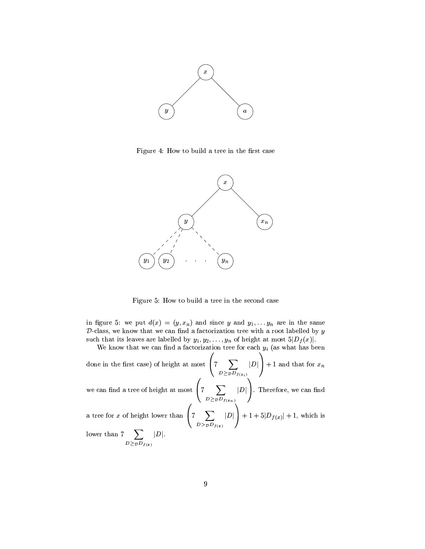

Figure 4: How to build a tree in the first case



Figure 5: How to build a tree in the second case

in figure 5: we put  $d(x) = (y, x_n)$  and since y and  $y_1, \ldots, y_n$  are in the same  $D$ -class, we know that we can find a factorization tree with a root labelled by  $y$ such that its leaves are labelled by  $y_1, y_2, \ldots, y_n$  of height at most  $5|D_f(x)|$ .<br>We know that we can find a factorization tree for each  $y_i$  (as what has been

done in the first case) of height at most  $\left(7\sum_{D\geq\mathcal{D}}\sum_{f(y_i)}|D|\right)+1$  and that for  $x_n$ we can find a tree of height at most  $\left(7\sum_{D\geq pD_{f(x_n)}}|D|\right)$ . Therefore, we can find<br>a tree for x of height lower than  $\left(7\sum_{D> pD_{f(x)}}|D|\right) + 1 + 5|D_{f(x)}| + 1$ , which is lower than  $7 \sum_{D \geq \tau D_{f(x)}} |D|$ .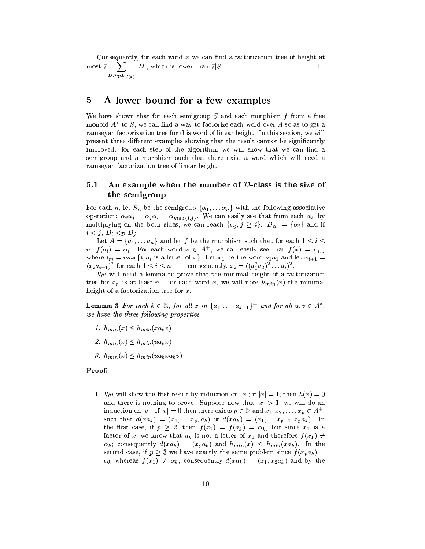Consequently, for each word  $x$  we can find a factorization tree of height at  $\sum$  |D|, which is lower than 7|S|. most 7  $D{\geq_{\mathcal{D}}} D_{f(x)}$ 

#### A lower bound for a few examples 5

We have shown that for each semigroup  $S$  and each morphism  $f$  from a free monoid  $A^*$  to S, we can find a way to factorize each word over A so as to get a ramseyan factorization tree for this word of linear height. In this section, we will present three different examples showing that the result cannot be significantly improved: for each step of the algorithm, we will show that we can find a semigroup and a morphism such that there exist a word which will need a ramseyan factorization tree of linear height.

#### An example when the number of  $D$ -class is the size of  $5.1$ the semigroup

For each n, let  $S_n$  be the semigroup  $\{\alpha_1, \dots \alpha_n\}$  with the following associative operation:  $\alpha_i \alpha_j = \alpha_j \alpha_i = \alpha_{max\{i,j\}}$ . We can easily see that from each  $\alpha_i$ , by multiplying on the both sides, we can reach  $\{\alpha_j; j \geq i\}$ :  $D_{\alpha_i} = \{\alpha_i\}$  and if  $i < j$ ,  $D_i <_{\mathcal{D}} D_j$ .

Let  $A = \{a_1, \ldots a_n\}$  and let f be the morphism such that for each  $1 \leq i \leq$  $n, f(a_i) = \alpha_i$ . For each word  $x \in A^+$ , we can easily see that  $f(x) = \alpha_{i_m}$ where  $i_m = max\{i; a_i$  is a letter of  $x\}$ . Let  $x_1$  be the word  $a_1a_1$  and let  $x_{i+1} =$  $(x_i a_{i+1})^2$  for each  $1 \le i \le n-1$ : consequently,  $x_i = ((a_1^2 a_2)^2 ... a_i)^2$ .

We will need a lemma to prove that the minimal height of a factorization tree for  $x_n$  is at least n. For each word x, we will note  $h_{min}(x)$  the minimal height of a factorization tree for  $x$ .

**Lemma 3** For each  $k \in \mathbb{N}$ , for all x in  $\{a_1, \ldots, a_{k-1}\}^+$  and for all  $u, v \in A^*$ , we have the three following properties

- 1.  $h_{min}(x) \leq h_{min}(xa_kv)$
- 2.  $h_{min}(x) \leq h_{min}(ua_kx)$
- 3.  $h_{min}(x) \leq h_{min}(ua_kxa_kv)$

## Proof:

1. We will show the first result by induction on  $|x|$ ; if  $|x|=1$ , then  $h(x)=0$ and there is nothing to prove. Suppose now that  $|x| > 1$ , we will do an induction on |v|. If  $|v| = 0$  then there exists  $p \in \mathbb{N}$  and  $x_1, x_2, \ldots, x_p \in A^+$ , such that  $d(xa_k) = (x_1,...x_p, a_k)$  or  $d(xa_k) = (x_1,...x_{p-1}, x_p a_k)$ . In the first case, if  $p \geq 2$ , then  $f(x_1) = f(a_k) = \alpha_k$ , but since  $x_1$  is a factor of x, we know that  $a_k$  is not a letter of  $x_1$  and therefore  $f(x_1) \neq$  $\alpha_k$ ; consequently  $d(xa_k) = (x, a_k)$  and  $h_{min}(x) \leq h_{min}(xa_k)$ . In the second case, if  $p \geq 3$  we have exactly the same problem since  $f(x_p a_k) =$  $\alpha_k$  whereas  $f(x_1) \neq \alpha_k$ ; consequently  $d(x a_k) = (x_1, x_2 a_k)$  and by the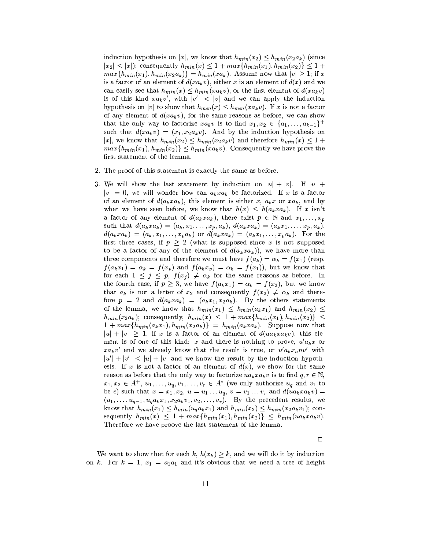induction hypothesis on |x|, we know that  $h_{min}(x_2) \leq h_{min}(x_2 a_k)$  (since  $max\{h_{min}(x_1), h_{min}(x_2a_k)\} = h_{min}(xa_k)$ . Assume now that  $|v| \geq 1$ ; if x is a factor of an element of  $d(xa_kv)$ , either x is an element of  $d(x)$  and we can easily see that  $h_{min}(x) \leq h_{min}(xa_k v)$ , or the first element of  $d(xa_k v)$ is of this kind  $xa_kv'$ , with  $|v'| < |v|$  and we can apply the induction hypothesis on |v| to show that  $h_{min}(x) \leq h_{min}(xa_k v)$ . If x is not a factor of any element of  $d(xa_kv)$ , for the same reasons as before, we can show that the only way to factorize  $xa_kv$  is to find  $x_1, x_2 \in \{a_1, \ldots, a_{k-1}\}^+$ such that  $d(xa_kv) = (x_1, x_2a_kv)$ . And by the induction hypothesis on |x|, we know that  $h_{min}(x_2) \leq h_{min}(x_2 a_k v)$  and therefore  $h_{min}(x) \leq 1 +$  $max\{h_{min}(x_1), h_{min}(x_2)\}\leq h_{min}(x_4, v)$ . Consequently we have prove the first statement of the lemma.

- 2. The proof of this statement is exactly the same as before.
- 3. We will show the last statement by induction on  $|u| + |v|$ . If  $|u| +$  $|v| = 0$ , we will wonder how can  $a_k x a_k$  be factorized. If x is a factor of an element of  $d(a_kxa_k)$ , this element is either x,  $a_kx$  or  $xa_k$ , and by what we have seen before, we know that  $h(x) \leq h(a_k x a_k)$ . If x isn't a factor of any element of  $d(a_kxa_k)$ , there exist  $p \in \mathbb{N}$  and  $x_1,\ldots,x_p$ such that  $d(a_kxa_k)=(a_k,x_1,\ldots,x_p,a_k), d(a_kxa_k)=(a_kx_1,\ldots,x_p,a_k),$  $d(a_k x a_k) = (a_k, x_1, \ldots, x_p a_k)$  or  $d(a_k x a_k) = (a_k x_1, \ldots, x_p a_k)$ . For the first three cases, if  $p > 2$  (what is supposed since x is not supposed to be a factor of any of the element of  $d(a_kxa_k)$ , we have more than three components and therefore we must have  $f(a_k) = \alpha_k = f(x_1)$  (resp.  $f(a_kx_1) = \alpha_k = f(x_p)$  and  $f(a_kx_p) = \alpha_k = f(x_1)$ , but we know that for each  $1 \leq j \leq p$ ,  $f(x_j) \neq \alpha_k$  for the same reasons as before. In the fourth case, if  $p \geq 3$ , we have  $f(a_k x_1) = \alpha_k = f(x_2)$ , but we know that  $a_k$  is not a letter of  $x_2$  and consequently  $f(x_2) \neq \alpha_k$  and therefore  $p = 2$  and  $d(a_k x a_k) = (a_k x_1, x_2 a_k)$ . By the others statements of the lemma, we know that  $h_{min}(x_1) \leq h_{min}(a_k x_1)$  and  $h_{min}(x_2) \leq$  $h_{min}(x_2a_k);$  consequently,  $h_{min}(x) \leq 1 + max\{h_{min}(x_1), h_{min}(x_2)\} \leq$  $1 + max\{h_{min}(a_kx_1), h_{min}(x_2a_k)\} = h_{min}(a_kxa_k)$ . Suppose now that  $|u| + |v| \geq 1$ , if x is a factor of an element of  $d(ua_kxa_kv)$ , this element is of one of this kind: x and there is nothing to prove,  $u^{\prime} a_k x$  or  $xa_kv'$  and we already know that the result is true, or  $u'a_kx_anv'$  with  $|u'| + |v'| < |u| + |v|$  and we know the result by the induction hypothesis. If x is not a factor of an element of  $d(x)$ , we show for the same reason as before that the only way to factorize  $ua_kxa_kv$  is to find  $q, r \in \mathbb{N}$ ,  $x_1, x_2 \in A^+, u_1, \ldots, u_q, v_1, \ldots, v_r \in A^*$  (we only authorize  $u_q$  and  $v_1$  to be  $\epsilon$ ) such that  $x = x_1, x_2, u = u_1 \ldots u_q, v = v_1 \ldots v_r$  and  $d(ua_kxa_kv)$  $(u_1,\ldots,u_{q-1},u_q a_k x_1,x_2 a_k v_1,v_2,\ldots,v_r)$ . By the precedent results, we know that  $h_{min}(x_1) \leq h_{min}(u_q a_k x_1)$  and  $h_{min}(x_2) \leq h_{min}(x_2 a_k v_1)$ ; consequently  $h_{min}(x) \leq 1 + max\{h_{min}(x_1), h_{min}(x_2)\} \leq h_{min}(ua_kxa_kv).$ Therefore we have proove the last statement of the lemma.

 $\Box$ 

We want to show that for each k,  $h(x_k) \geq k$ , and we will do it by induction on k. For  $k = 1$ ,  $x_1 = a_1 a_1$  and it's obvious that we need a tree of height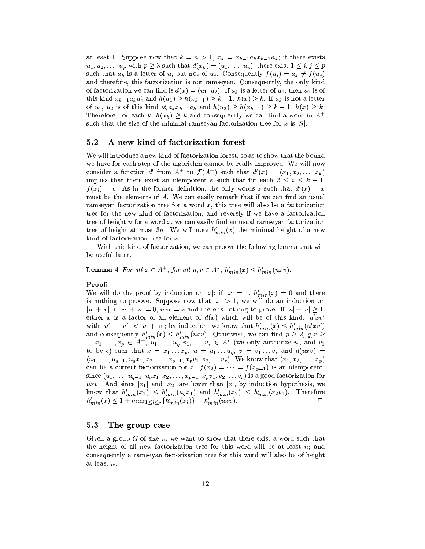at least 1. Suppose now that  $k = n > 1$ ,  $x_k = x_{k-1}a_kx_{k-1}a_k$ ; if there exists  $u_1, u_2, \ldots, u_p$  with  $p \geq 3$  such that  $d(x_k) = (u_1, \ldots, u_p)$ , there exist  $1 \leq i, j \leq p$ such that  $a_k$  is a letter of  $u_i$  but not of  $u_j$ . Consequently  $f(u_i) = a_k \neq f(u_j)$ and therefore, this factorization is not ramseyan. Consequently, the only kind of factorization we can find is  $d(x) = (u_1, u_2)$ . If  $a_k$  is a letter of  $u_1$ , then  $u_1$  is of this kind  $x_{k-1}a_ku'_1$  and  $h(u_1) \geq h(x_{k-1}) \geq k-1$ :  $h(x) \geq k$ . If  $a_k$  is not a letter of  $u_1, u_2$  is of this kind  $u'_2 a_k x_{k-1} a_k$  and  $h(u_2) \geq h(x_{k-1}) \geq k-1$ :  $h(x) \geq k$ . Therefore, for each k,  $h(x_k) \geq k$  and consequently we can find a word in  $A^+$ such that the size of the minimal ramseyan factorization tree for x is  $|S|$ .

#### $5.2$ A new kind of factorization forest

We will introduce a new kind of factorization forest, so as to show that the bound we have for each step of the algorithm cannot be really improved. We will now consider a fonction d' from  $A^+$  to  $\mathcal{F}(A^+)$  such that  $d'(x) = (x_1, x_2, \ldots, x_k)$ implies that there exist an idempotent e such that for each  $2 \leq i \leq k-1$ ,  $f(x_i) = e$ . As in the former definition, the only words x such that  $d'(x) = x$ must be the elements of  $A$ . We can easily remark that if we can find an usual ramseyan factorization tree for a word  $x$ , this tree will also be a factorization tree for the new kind of factorization, and reversly if we have a factorization tree of height  $n$  for a word  $x$ , we can easily find an usual ramseyan factorization tree of height at most 3n. We will note  $h'_{min}(x)$  the minimal height of a new kind of factorization tree for  $x$ .

With this kind of factorization, we can proove the following lemma that will be useful later.

**Lemma 4** For all  $x \in A^+$ , for all  $u, v \in A^*$ ,  $h'_{min}(x) \leq h'_{min}(uxv)$ .

## Proof:

We will do the proof by induction on |x|; if  $|x| = 1$ ,  $h'_{min}(x) = 0$  and there is nothing to proove. Suppose now that  $|x| > 1$ , we will do an induction on  $|u| + |v|$ ; if  $|u| + |v| = 0$ ,  $uxv = x$  and there is nothing to prove. If  $|u| + |v| > 1$ , either x is a factor of an element of  $d(x)$  which will be of this kind:  $u'xv'$ with  $|u'| + |v'| < |u| + |v|$ ; by induction, we know that  $h'_{min}(x) \leq h'_{min}(u'xv')$ and consequently  $h'_{min}(x) \leq h'_{min}(uxv)$ . Otherwise, we can find  $p \geq 2$ ,  $q, r \geq 1$ 1,  $x_1, \ldots, x_p \in A^+$ ,  $u_1, \ldots, u_q, v_1, \ldots, v_r \in A^*$  (we only authorize  $u_q$  and  $v_1$ to be  $\epsilon$ ) such that  $x = x_1 \ldots x_p$ ,  $u = u_1 \ldots u_q$ ,  $v = v_1 \ldots v_r$  and  $d(uxv)$  $(u_1, \ldots, u_{q-1}, u_q x_1, x_2, \ldots, x_{p-1}, x_p v_1, v_2, \ldots v_r)$ . We know that  $(x_1, x_2, \ldots, x_p)$ can be a correct factorization for  $x: f(x_2) = \cdots = f(x_{p-1})$  is an idempotent, since  $(u_1, \ldots, u_{q-1}, u_q x_1, x_2, \ldots, x_{p-1}, x_p v_1, v_2, \ldots v_r)$  is a good factorization for uxv. And since  $|x_1|$  and  $|x_2|$  are lower than  $|x|$ , by induction hypothesis, we know that  $h'_{min}(x_1) \leq h'_{min}(u_q x_1)$  and  $h'_{min}(x_2) \leq h'_{min}(x_2 v_1)$ . Therefore  $h'_{min}(x) \leq 1 + max_{1 \leq i \leq p} \{h'_{min}(x_i)\} = h'_{min}(uxv).$  $\Box$ 

#### $5.3$ The group case

Given a group G of size  $n$ , we want to show that there exist a word such that the height of all new factorization tree for this word will be at least  $n$ ; and consequently a ramseyan factorization tree for this word will also be of height at least  $n$ .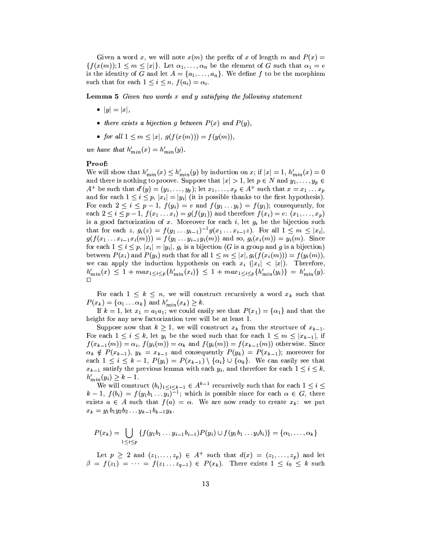Given a word x, we will note  $x(m)$  the prefix of x of length m and  $P(x) =$  $\{f(x(m)); 1 \leq m \leq |x|\}.$  Let  $\alpha_1, \ldots, \alpha_n$  be the element of G such that  $\alpha_1 = e$ is the identity of G and let  $A = \{a_1, \ldots, a_n\}$ . We define f to be the morphism such that for each  $1 \leq i \leq n$ ,  $f(a_i) = \alpha_i$ .

**Lemma 5** Given two words x and y satisfying the following statement

- $|y| = |x|$ ,
- there exists a bijection g between  $P(x)$  and  $P(y)$ ,
- for all  $1 \leq m \leq |x|, g(f(x(m))) = f(y(m)),$

we have that  $h'_{min}(x) = h'_{min}(y)$ .

## Proof:

We will show that  $h'_{min}(x) \leq h'_{min}(y)$  by induction on x; if  $|x| = 1$ ,  $h'_{min}(x) = 0$ and there is nothing to proove. Suppose that  $|x| > 1$ , let  $p \in N$  and  $y_1, \ldots, y_p \in N$  $A^+$  be such that  $d'(y) = (y_1, \ldots, y_p)$ ; let  $x_1, \ldots, x_p \in A^+$  such that  $x = x_1 \ldots x_p$ and for each  $1 \leq i \leq p$ ,  $|x_i| = |y_i|$  (it is possible thanks to the first hypothesis). For each  $2 \leq i \leq p-1$ ,  $f(y_i) = e$  and  $f(y_1 \dots y_i) = f(y_1)$ ; consequently, for each  $2 \le i \le p-1$ ,  $f(x_1...x_i) = g(f(y_1))$  and therefore  $f(x_i) = e: (x_1,...,x_p)$ is a good factorization of  $x$ . Moreover for each  $i$ , let  $g_i$  be the bijection such that for each z,  $g_i(z) = f(y_1 \dots y_{i-1})^{-1} g(x_1 \dots x_{i-1} z)$ . For all  $1 \leq m \leq |x_i|$ ,  $g(f(x_1 ... x_{i-1}x_i(m))) = f(y_1 ... y_{i-1}y_i(m))$  and so,  $g_i(x_i(m)) = y_i(m)$ . Since for each  $1 \leq i \leq p$ ,  $|x_i| = |y_i|$ ,  $g_i$  is a bijection (G is a group and g is a bijection) between  $P(x_i)$  and  $P(y_i)$  such that for all  $1 \leq m \leq |x|, g_i(f(x_i(m))) = f(y_i(m)),$ we can apply the induction hypothesis on each  $x_i$  (|x<sub>i</sub>| < |x|). Therefore,  $h'_{min}(x) \leq 1 + max_{1 \leq i \leq p} \{h'_{min}(x_i)\} \leq 1 + max_{1 \leq i \leq p} \{h'_{min}(y_i)\} = h'_{min}(y).$ 

For each  $1 \leq k \leq n$ , we will construct recursively a word  $x_k$  such that  $P(x_k) = \{\alpha_1 \dots \alpha_k\}$  and  $h'_{min}(x_k) \geq k$ .

If  $k = 1$ , let  $x_1 = a_1 a_1$ ; we could easily see that  $P(x_1) = {\alpha_1}$  and that the height for any new factorization tree will be at least 1.

Suppose now that  $k \geq 1$ , we will construct  $x_k$  from the structure of  $x_{k-1}$ . For each  $1 \leq i \leq k$ , let  $y_i$  be the word such that for each  $1 \leq m \leq |x_{k-1}|$ , if  $f(x_{k-1}(m)) = \alpha_i$ ,  $f(y_i(m)) = \alpha_k$  and  $f(y_i(m)) = f(x_{k-1}(m))$  otherwise. Since  $\alpha_k \notin P(x_{k-1}), y_k = x_{k-1}$  and consequently  $P(y_k) = P(x_{k-1})$ ; moreover for each  $1 \leq i \leq k-1$ ,  $P(y_i) = P(x_{k-1}) \setminus \{a_i\} \cup \{a_k\}$ . We can easily see that  $x_{k-1}$  satisfy the previous lemma with each  $y_i$ , and therefore for each  $1 \leq i \leq k$ ,  $h_{min}'(y_i) \geq k-1.$ 

We will construct  $(b_i)_{1 \leq i \leq k-1} \in A^{k-1}$  recursively such that for each  $1 \leq i \leq k$  $k-1$ ,  $f(b_i) = f(y_1b_1 \ldots y_i)^{-1}$ ; which is possible since for each  $\alpha \in G$ , there exists  $a \in A$  such that  $f(a) = \alpha$ . We are now ready to create  $x_k$ : we put  $x_k = y_1b_1y_2b_2 \ldots y_{k-1}b_{k-1}y_k.$ 

$$
P(x_k) = \bigcup_{1 \leq i \leq p} \{ f(y_1 b_1 \dots y_{i-1} b_{i-1}) P(y_i) \cup f(y_1 b_1 \dots y_i b_i) \} = \{ \alpha_1, \dots, \alpha_k \}
$$

Let  $p \geq 2$  and  $(z_1, \ldots, z_p) \in A^+$  such that  $d(x) = (z_1, \ldots, z_p)$  and let  $\beta = f(z_1) = \cdots = f(z_1 \dots z_{q-1}) \in P(x_k)$ . There exists  $1 \leq i_0 \leq k$  such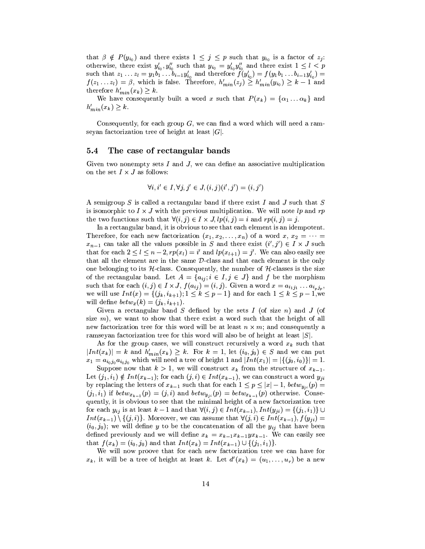that  $\beta \notin P(y_{i_0})$  and there exists  $1 \leq j \leq p$  such that  $y_{i_0}$  is a factor of  $z_j$ . otherwise, there exist  $y'_{i_0}, y''_{i_0}$  such that  $y_{i_0} = y'_{i_0} y''_{i_0}$  and there exist  $1 \leq l < p$ <br>such that  $z_1 \ldots z_l = y_1 b_1 \ldots b_{i-1} y'_{i_0}$  and therefore  $f(y'_{i_0}) = f(y_1 b_1 \ldots b_{i-1} y'_{i_0}) =$ <br> $f(z_1 \ldots z_l) = \beta$ , which is f therefore  $h'_{min}(x_k) \geq k$ .

We have consequently built a word x such that  $P(x_k) = \{\alpha_1 \dots \alpha_k\}$  and  $h'_{min}(x_k) \geq k.$ 

Consequently, for each group  $G$ , we can find a word which will need a ramseyan factorization tree of height at least  $|G|$ .

#### $5.4$ The case of rectangular bands

Given two nonempty sets  $I$  and  $J$ , we can define an associative multiplication on the set  $I \times J$  as follows:

$$
\forall i, i' \in I, \forall j, j' \in J, (i, j)(i', j') = (i, j')
$$

A semigroup S is called a rectangular band if there exist I and J such that S is isomorphic to  $I \times J$  with the previous multiplication. We will note lp and rp the two functions such that  $\forall (i, j) \in I \times J$ ,  $lp(i, j) = i$  and  $rp(i, j) = j$ .

In a rectangular band, it is obvious to see that each element is an idempotent. Therefore, for each new factorization  $(x_1, x_2, \ldots, x_n)$  of a word  $x, x_2 = \cdots =$  $x_{n-1}$  can take all the values possible in S and there exist  $(i', j') \in I \times J$  such that for each  $2 \leq l \leq n-2$ ,  $rp(x_l) = i'$  and  $lp(x_{l+1}) = j'$ . We can also easily see that all the element are in the same  $D$ -class and that each element is the only one belonging to its  $H$ -class. Consequently, the number of  $H$ -classes is the size of the rectangular band. Let  $A = \{a_{ij}; i \in I, j \in J\}$  and f be the morphism such that for each  $(i, j) \in I \times J$ ,  $f(a_{ij}) = (i, j)$ . Given a word  $x = a_{i_1 j_1} \dots a_{i_p j_p}$ , we will use  $Int(x) = \{(j_k, i_{k+1}); 1 \leq k \leq p-1\}$  and for each  $1 \leq k \leq p-1$ , we will define  $betw_x(k) = (j_k, i_{k+1}).$ 

Given a rectangular band  $S$  defined by the sets  $I$  (of size  $n$ ) and  $J$  (of size  $m$ ), we want to show that there exist a word such that the height of all new factorization tree for this word will be at least  $n \times m$ ; and consequently a ramseyan factorization tree for this word will also be of height at least  $|S|$ .

As for the group cases, we will construct recursively a word  $x_k$  such that  $|Int(x_k)| = k$  and  $h'_{min}(x_k) \geq k$ . For  $k = 1$ , let  $(i_0, j_0) \in S$  and we can put  $x_1 = a_{i_0j_0} a_{i_0j_0}$  which will need a tree of height 1 and  $|Int(x_1)| = |\{(j_0, i_0)\}| = 1$ .

Suppose now that  $k > 1$ , we will construct  $x_k$  from the structure of  $x_{k-1}$ . Let  $(j_1, i_1) \notin Int(x_{k-1})$ ; for each  $(j, i) \in Int(x_{k-1})$ , we can construct a word  $y_{ji}$ by replacing the letters of  $x_{k-1}$  such that for each  $1 \leq p \leq |x|-1$ ,  $b_{\ell}t w_{y_{ij}}(p) =$  $(j_1, i_1)$  if  $bet w_{x_{k-1}}(p) = (j, i)$  and  $bet w_{y_{i}}(p) = bet w_{x_{k-1}}(p)$  otherwise. Consequently, it is obvious to see that the minimal height of a new factorization tree for each  $y_{ij}$  is at least  $k-1$  and that  $\forall (i,j) \in Int(x_{k-1}), Int(y_{ji}) = \{(j_1,i_1)\} \cup$  $Int(x_{k-1})\setminus\{(j,i)\}\)$ . Moreover, we can assume that  $\forall (j,i)\in Int(x_{k-1}), f(y_{ii})=$  $(i_0, j_0)$ ; we will define y to be the concatenation of all the  $y_{ij}$  that have been defined previously and we will define  $x_k = x_{k-1}x_{k-1}y_{k-1}$ . We can easily see that  $f(x_k) = (i_0, j_0)$  and that  $Int(x_k) = Int(x_{k-1}) \cup \{(j_1, i_1)\}.$ 

We will now proove that for each new factorization tree we can have for  $x_k$ , it will be a tree of height at least k. Let  $d'(x_k) = (u_1, \ldots, u_r)$  be a new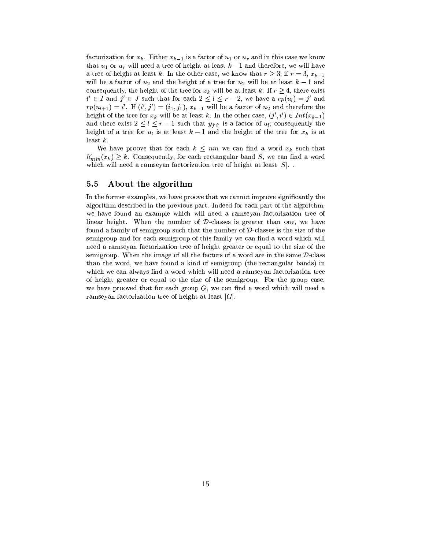factorization for  $x_k$ . Either  $x_{k-1}$  is a factor of  $u_1$  or  $u_r$  and in this case we know that  $u_1$  or  $u_r$  will need a tree of height at least  $k-1$  and therefore, we will have a tree of height at least k. In the other case, we know that  $r > 3$ ; if  $r = 3$ ,  $x_{k-1}$ will be a factor of  $u_2$  and the height of a tree for  $u_2$  will be at least  $k-1$  and consequently, the height of the tree for  $x_k$  will be at least k. If  $r \geq 4$ , there exist  $i' \in I$  and  $j' \in J$  such that for each  $2 \leq l \leq r-2$ , we have a  $rp(u_l) = j'$  and  $rp(u_{l+1}) = i'$ . If  $(i', j') = (i_1, j_1), x_{k-1}$  will be a factor of  $u_2$  and therefore the height of the tree for  $x_k$  will be at least k. In the other case,  $(j', i') \in Int(x_{k-1})$ and there exist  $2 \leq l \leq r-1$  such that  $y_{j'i'}$  is a factor of  $u_l$ ; consequently the height of a tree for  $u_l$  is at least  $k-1$  and the height of the tree for  $x_k$  is at least  $k$ .

We have proove that for each  $k \leq nm$  we can find a word  $x_k$  such that  $h'_{min}(x_k) \geq k$ . Consequently, for each rectangular band S, we can find a word which will need a ramseyan factorization tree of height at least  $|S|$ .

#### $5.5$ About the algorithm

In the former examples, we have proove that we cannot improve significantly the algorithm described in the previous part. Indeed for each part of the algorithm, we have found an example which will need a ramseyan factorization tree of linear height. When the number of  $D$ -classes is greater than one, we have found a family of semigroup such that the number of  $\mathcal{D}$ -classes is the size of the semigroup and for each semigroup of this family we can find a word which will need a ramseyan factorization tree of height greater or equal to the size of the semigroup. When the image of all the factors of a word are in the same  $D$ -class than the word, we have found a kind of semigroup (the rectangular bands) in which we can always find a word which will need a ramseyan factorization tree of height greater or equal to the size of the semigroup. For the group case, we have prooved that for each group  $G$ , we can find a word which will need a ramseyan factorization tree of height at least  $|G|$ .